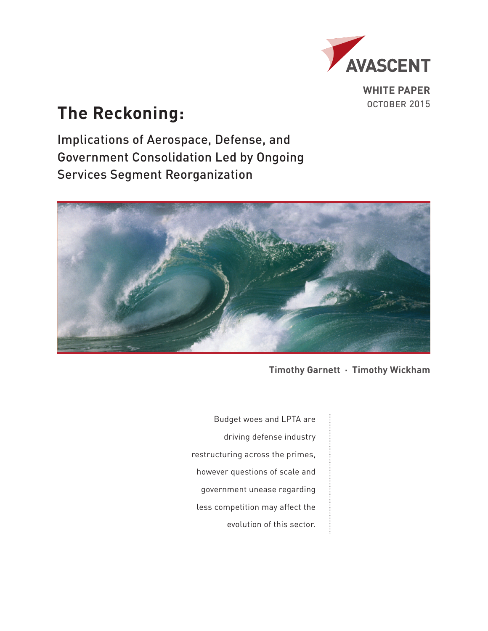

**WHITE PAPER**

# The Reckoning: **The Reckoning:**

Implications of Aerospace, Defense, and Government Consolidation Led by Ongoing Services Segment Reorganization



**Timothy Garnett · Timothy Wickham**

Budget woes and LPTA are driving defense industry restructuring across the primes, however questions of scale and government unease regarding less competition may affect the evolution of this sector.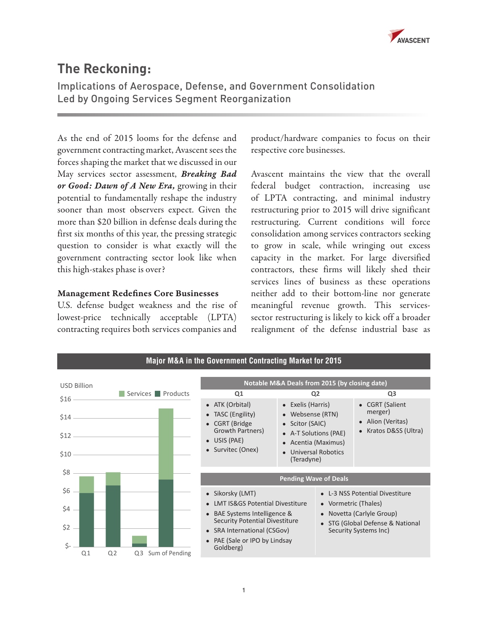

# **The Reckoning:**

Implications of Aerospace, Defense, and Government Consolidation Led by Ongoing Services Segment Reorganization

As the end of 2015 looms for the defense and government contracting market, Avascent sees the forces shaping the market that we discussed in our May services sector assessment, *[Breaking Bad](http://www.avascent.com/2015/05/breaking-bad-good-dawn-new-era-defense-sector/) [or Good: Dawn of A New Era,](http://www.avascent.com/2015/05/breaking-bad-good-dawn-new-era-defense-sector/)* growing in their potential to fundamentally reshape the industry sooner than most observers expect. Given the more than \$20 billion in defense deals during the first six months of this year, the pressing strategic question to consider is what exactly will the government contracting sector look like when this high-stakes phase is over?

#### Management Redefines Core Businesses

U.S. defense budget weakness and the rise of lowest-price technically acceptable (LPTA) contracting requires both services companies and

product/hardware companies to focus on their respective core businesses.

Avascent maintains the view that the overall federal budget contraction, increasing use of LPTA contracting, and minimal industry restructuring prior to 2015 will drive significant restructuring. Current conditions will force consolidation among services contractors seeking to grow in scale, while wringing out excess capacity in the market. For large diversified contractors, these firms will likely shed their services lines of business as these operations neither add to their bottom-line nor generate meaningful revenue growth. This servicessector restructuring is likely to kick off a broader realignment of the defense industrial base as

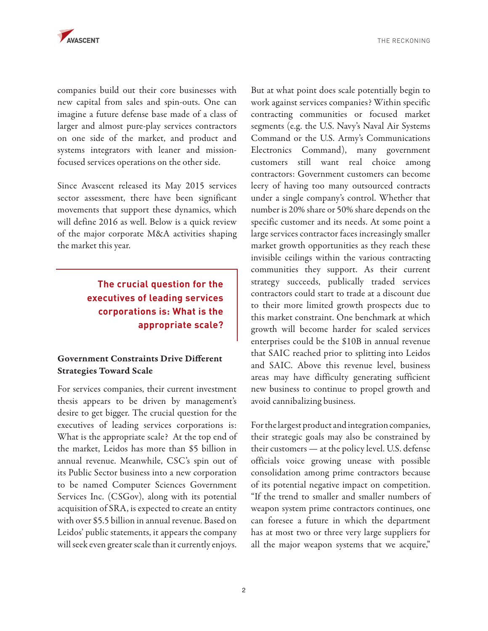

THE RECKONING

companies build out their core businesses with new capital from sales and spin-outs. One can imagine a future defense base made of a class of larger and almost pure-play services contractors on one side of the market, and product and systems integrators with leaner and missionfocused services operations on the other side.

Since Avascent released its May 2015 services sector assessment, there have been significant movements that support these dynamics, which will define 2016 as well. Below is a quick review of the major corporate M&A activities shaping the market this year.

> **The crucial question for the executives of leading services corporations is: What is the appropriate scale?**

### Government Constraints Drive Different Strategies Toward Scale

For services companies, their current investment thesis appears to be driven by management's desire to get bigger. The crucial question for the executives of leading services corporations is: What is the appropriate scale? At the top end of the market, Leidos has more than \$5 billion in annual revenue. Meanwhile, CSC's spin out of its Public Sector business into a new corporation to be named Computer Sciences Government Services Inc. (CSGov), along with its potential acquisition of SRA, is expected to create an entity with over \$5.5 billion in annual revenue. Based on Leidos' public statements, it appears the company will seek even greater scale than it currently enjoys.

But at what point does scale potentially begin to work against services companies? Within specific contracting communities or focused market segments (e.g. the U.S. Navy's Naval Air Systems Command or the U.S. Army's Communications Electronics Command), many government customers still want real choice among contractors: Government customers can become leery of having too many outsourced contracts under a single company's control. Whether that number is 20% share or 50% share depends on the specific customer and its needs. At some point a large services contractor faces increasingly smaller market growth opportunities as they reach these invisible ceilings within the various contracting communities they support. As their current strategy succeeds, publically traded services contractors could start to trade at a discount due to their more limited growth prospects due to this market constraint. One benchmark at which growth will become harder for scaled services enterprises could be the \$10B in annual revenue that SAIC reached prior to splitting into Leidos and SAIC. Above this revenue level, business areas may have difficulty generating sufficient new business to continue to propel growth and avoid cannibalizing business.

For the largest product and integration companies, their strategic goals may also be constrained by their customers — at the policy level. U.S. defense officials voice growing unease with possible consolidation among prime contractors because of its potential negative impact on competition. "If the trend to smaller and smaller numbers of weapon system prime contractors continues, one can foresee a future in which the department has at most two or three very large suppliers for all the major weapon systems that we acquire,"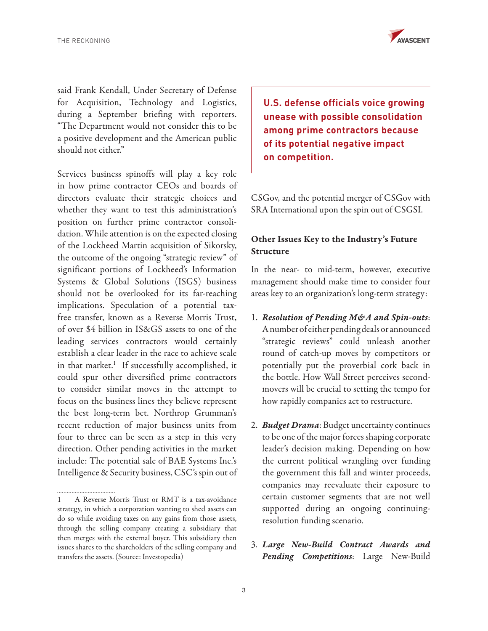

said Frank Kendall, Under Secretary of Defense for Acquisition, Technology and Logistics, during a September briefing with reporters. "The Department would not consider this to be a positive development and the American public should not either."

Services business spinoffs will play a key role in how prime contractor CEOs and boards of directors evaluate their strategic choices and whether they want to test this administration's position on further prime contractor consolidation. While attention is on the expected closing of the Lockheed Martin acquisition of Sikorsky, the outcome of the ongoing "strategic review" of significant portions of Lockheed's Information Systems & Global Solutions (ISGS) business should not be overlooked for its far-reaching implications. Speculation of a potential taxfree transfer, known as a Reverse Morris Trust, of over \$4 billion in IS&GS assets to one of the leading services contractors would certainly establish a clear leader in the race to achieve scale in that market.<sup>1</sup> If successfully accomplished, it could spur other diversified prime contractors to consider similar moves in the attempt to focus on the business lines they believe represent the best long-term bet. Northrop Grumman's recent reduction of major business units from four to three can be seen as a step in this very direction. Other pending activities in the market include: The potential sale of BAE Systems Inc.'s Intelligence & Security business, CSC's spin out of **U.S. defense officials voice growing unease with possible consolidation among prime contractors because of its potential negative impact on competition.** 

CSGov, and the potential merger of CSGov with SRA International upon the spin out of CSGSI.

## Other Issues Key to the Industry's Future Structure

In the near- to mid-term, however, executive management should make time to consider four areas key to an organization's long-term strategy:

- 1. *Resolution of Pending M&A and Spin-outs*: A number of either pending deals or announced "strategic reviews" could unleash another round of catch-up moves by competitors or potentially put the proverbial cork back in the bottle. How Wall Street perceives secondmovers will be crucial to setting the tempo for how rapidly companies act to restructure.
- 2. *Budget Drama*: Budget uncertainty continues to be one of the major forces shaping corporate leader's decision making. Depending on how the current political wrangling over funding the government this fall and winter proceeds, companies may reevaluate their exposure to certain customer segments that are not well supported during an ongoing continuingresolution funding scenario.
- 3. *Large New-Build Contract Awards and Pending Competitions*: Large New-Build

<sup>1</sup> A Reverse Morris Trust or RMT is a tax-avoidance strategy, in which a corporation wanting to shed assets can do so while avoiding taxes on any gains from those assets, through the selling company creating a subsidiary that then merges with the external buyer. This subsidiary then issues shares to the shareholders of the selling company and transfers the assets. (Source: Investopedia)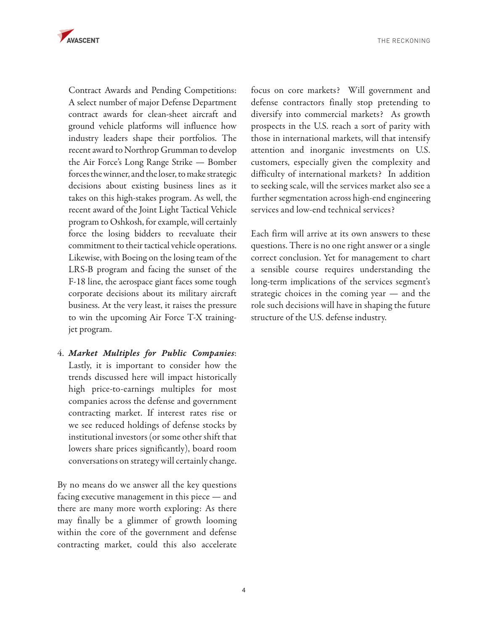

THE RECKONING

Contract Awards and Pending Competitions: A select number of major Defense Department contract awards for clean-sheet aircraft and ground vehicle platforms will influence how industry leaders shape their portfolios. The recent award to Northrop Grumman to develop the Air Force's Long Range Strike — Bomber forces the winner, and the loser, to make strategic decisions about existing business lines as it takes on this high-stakes program. As well, the recent award of the Joint Light Tactical Vehicle program to Oshkosh, for example, will certainly force the losing bidders to reevaluate their commitment to their tactical vehicle operations. Likewise, with Boeing on the losing team of the LRS-B program and facing the sunset of the F-18 line, the aerospace giant faces some tough corporate decisions about its military aircraft business. At the very least, it raises the pressure to win the upcoming Air Force T-X trainingjet program.

4. *Market Multiples for Public Companies*: Lastly, it is important to consider how the trends discussed here will impact historically high price-to-earnings multiples for most companies across the defense and government contracting market. If interest rates rise or we see reduced holdings of defense stocks by institutional investors (or some other shift that lowers share prices significantly), board room conversations on strategy will certainly change.

By no means do we answer all the key questions facing executive management in this piece — and there are many more worth exploring: As there may finally be a glimmer of growth looming within the core of the government and defense contracting market, could this also accelerate

focus on core markets? Will government and defense contractors finally stop pretending to diversify into commercial markets? As growth prospects in the U.S. reach a sort of parity with those in international markets, will that intensify attention and inorganic investments on U.S. customers, especially given the complexity and difficulty of international markets? In addition to seeking scale, will the services market also see a further segmentation across high-end engineering services and low-end technical services?

Each firm will arrive at its own answers to these questions. There is no one right answer or a single correct conclusion. Yet for management to chart a sensible course requires understanding the long-term implications of the services segment's strategic choices in the coming year - and the role such decisions will have in shaping the future structure of the U.S. defense industry.